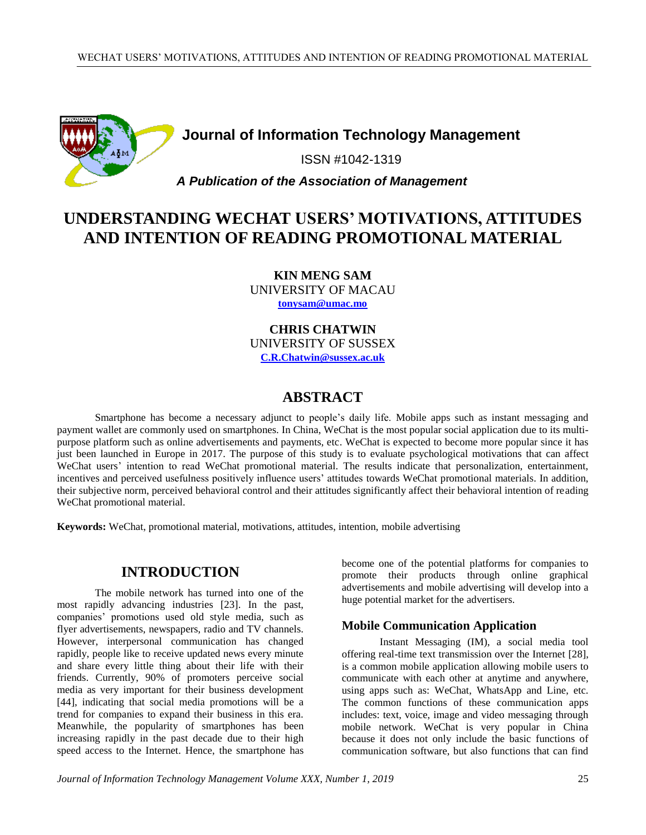

# **Journal of Information Technology Management**

ISSN #1042-1319

## *A Publication of the Association of Management*

# **UNDERSTANDING WECHAT USERS' MOTIVATIONS, ATTITUDES AND INTENTION OF READING PROMOTIONAL MATERIAL**

**KIN MENG SAM** UNIVERSITY OF MACAU **[tonysam@umac.mo](mailto:tonysam@umac.mo)**

**CHRIS CHATWIN** UNIVERSITY OF SUSSEX **[C.R.Chatwin@sussex.ac.uk](mailto:C.R.Chatwin@sussex.ac.uk)**

# **ABSTRACT**

Smartphone has become a necessary adjunct to people's daily life. Mobile apps such as instant messaging and payment wallet are commonly used on smartphones. In China, WeChat is the most popular social application due to its multipurpose platform such as online advertisements and payments, etc. WeChat is expected to become more popular since it has just been launched in Europe in 2017. The purpose of this study is to evaluate psychological motivations that can affect WeChat users' intention to read WeChat promotional material. The results indicate that personalization, entertainment, incentives and perceived usefulness positively influence users' attitudes towards WeChat promotional materials. In addition, their subjective norm, perceived behavioral control and their attitudes significantly affect their behavioral intention of reading WeChat promotional material.

**Keywords:** WeChat, promotional material, motivations, attitudes, intention, mobile advertising

# **INTRODUCTION**

The mobile network has turned into one of the most rapidly advancing industries [23]. In the past, companies' promotions used old style media, such as flyer advertisements, newspapers, radio and TV channels. However, interpersonal communication has changed rapidly, people like to receive updated news every minute and share every little thing about their life with their friends. Currently, 90% of promoters perceive social media as very important for their business development [44], indicating that social media promotions will be a trend for companies to expand their business in this era. Meanwhile, the popularity of smartphones has been increasing rapidly in the past decade due to their high speed access to the Internet. Hence, the smartphone has

become one of the potential platforms for companies to promote their products through online graphical advertisements and mobile advertising will develop into a huge potential market for the advertisers.

#### **Mobile Communication Application**

Instant Messaging (IM), a social media tool offering real-time text transmission over the Internet [28], is a common mobile application allowing mobile users to communicate with each other at anytime and anywhere, using apps such as: WeChat, WhatsApp and Line, etc. The common functions of these communication apps includes: text, voice, image and video messaging through mobile network. WeChat is very popular in China because it does not only include the basic functions of communication software, but also functions that can find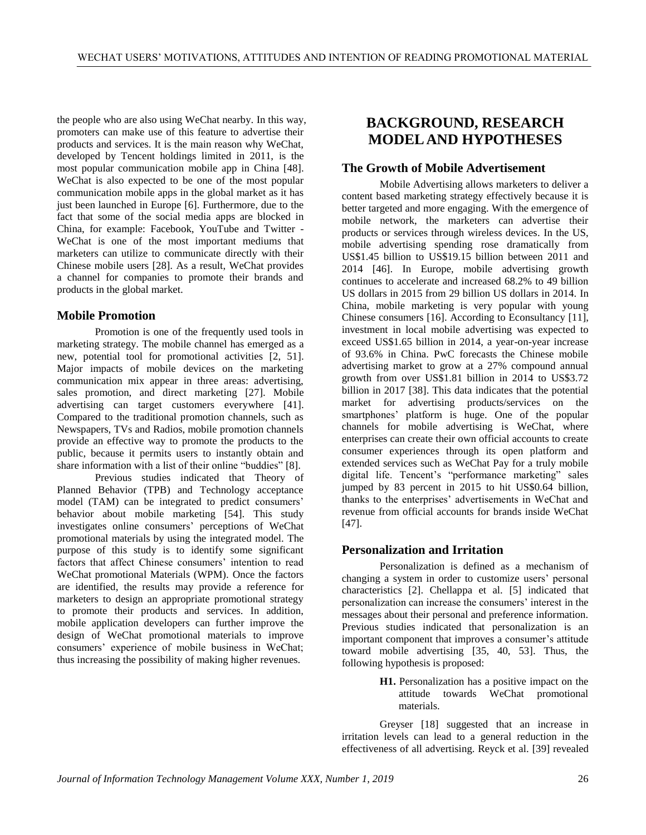the people who are also using WeChat nearby. In this way, promoters can make use of this feature to advertise their products and services. It is the main reason why WeChat, developed by Tencent holdings limited in 2011, is the most popular communication mobile app in China [48]. WeChat is also expected to be one of the most popular communication mobile apps in the global market as it has just been launched in Europe [6]. Furthermore, due to the fact that some of the social media apps are blocked in China, for example: Facebook, YouTube and Twitter - WeChat is one of the most important mediums that marketers can utilize to communicate directly with their Chinese mobile users [28]. As a result, WeChat provides a channel for companies to promote their brands and products in the global market.

### **Mobile Promotion**

Promotion is one of the frequently used tools in marketing strategy. The mobile channel has emerged as a new, potential tool for promotional activities [2, 51]. Major impacts of mobile devices on the marketing communication mix appear in three areas: advertising, sales promotion, and direct marketing [27]. Mobile advertising can target customers everywhere [41]. Compared to the traditional promotion channels, such as Newspapers, TVs and Radios, mobile promotion channels provide an effective way to promote the products to the public, because it permits users to instantly obtain and share information with a list of their online "buddies" [8].

Previous studies indicated that Theory of Planned Behavior (TPB) and Technology acceptance model (TAM) can be integrated to predict consumers' behavior about mobile marketing [54]. This study investigates online consumers' perceptions of WeChat promotional materials by using the integrated model. The purpose of this study is to identify some significant factors that affect Chinese consumers' intention to read WeChat promotional Materials (WPM). Once the factors are identified, the results may provide a reference for marketers to design an appropriate promotional strategy to promote their products and services. In addition, mobile application developers can further improve the design of WeChat promotional materials to improve consumers' experience of mobile business in WeChat; thus increasing the possibility of making higher revenues.

# **BACKGROUND, RESEARCH MODEL AND HYPOTHESES**

#### **The Growth of Mobile Advertisement**

Mobile Advertising allows marketers to deliver a content based marketing strategy effectively because it is better targeted and more engaging. With the emergence of mobile network, the marketers can advertise their products or services through wireless devices. In the US, mobile advertising spending rose dramatically from US\$1.45 billion to US\$19.15 billion between 2011 and 2014 [46]. In Europe, mobile advertising growth continues to accelerate and increased 68.2% to 49 billion US dollars in 2015 from 29 billion US dollars in 2014. In China, mobile marketing is very popular with young Chinese consumers [16]. According to Econsultancy [11], investment in local mobile advertising was expected to exceed US\$1.65 billion in 2014, a year-on-year increase of 93.6% in China. PwC forecasts the Chinese mobile advertising market to grow at a 27% compound annual growth from over US\$1.81 billion in 2014 to US\$3.72 billion in 2017 [38]. This data indicates that the potential market for advertising products/services on the smartphones' platform is huge. One of the popular channels for mobile advertising is WeChat, where enterprises can create their own official accounts to create consumer experiences through its open platform and extended services such as WeChat Pay for a truly mobile digital life. Tencent's "performance marketing" sales jumped by 83 percent in 2015 to hit US\$0.64 billion, thanks to the enterprises' advertisements in WeChat and revenue from official accounts for brands inside WeChat [47].

### **Personalization and Irritation**

Personalization is defined as a mechanism of changing a system in order to customize users' personal characteristics [2]. Chellappa et al. [5] indicated that personalization can increase the consumers' interest in the messages about their personal and preference information. Previous studies indicated that personalization is an important component that improves a consumer's attitude toward mobile advertising [35, 40, 53]. Thus, the following hypothesis is proposed:

> **H1.** Personalization has a positive impact on the attitude towards WeChat promotional materials.

Greyser [18] suggested that an increase in irritation levels can lead to a general reduction in the effectiveness of all advertising. Reyck et al. [39] revealed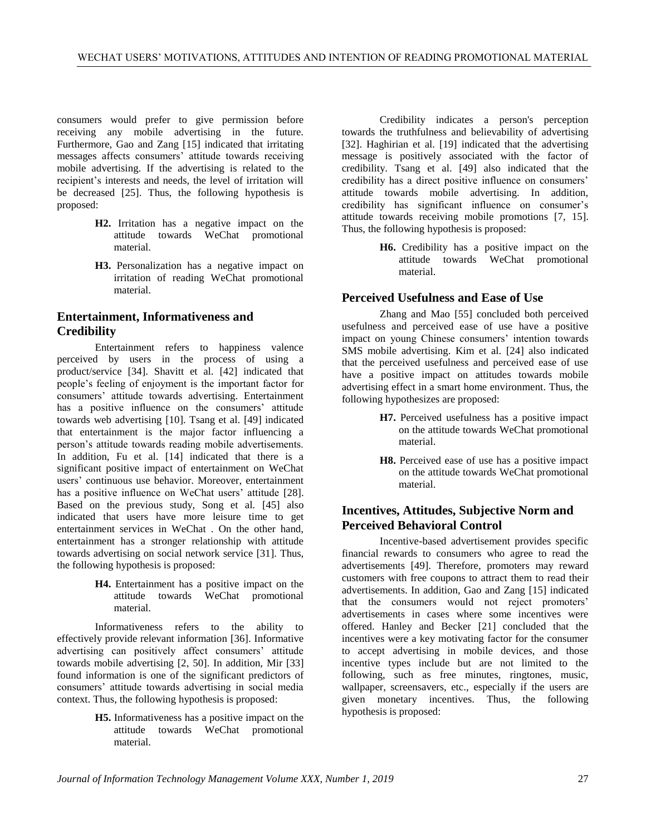consumers would prefer to give permission before receiving any mobile advertising in the future. Furthermore, Gao and Zang [15] indicated that irritating messages affects consumers' attitude towards receiving mobile advertising. If the advertising is related to the recipient's interests and needs, the level of irritation will be decreased [25]. Thus, the following hypothesis is proposed:

- **H2.** Irritation has a negative impact on the attitude towards WeChat promotional material.
- **H3.** Personalization has a negative impact on irritation of reading WeChat promotional material.

### **Entertainment, Informativeness and Credibility**

Entertainment refers to happiness valence perceived by users in the process of using a product/service [34]. Shavitt et al. [42] indicated that people's feeling of enjoyment is the important factor for consumers' attitude towards advertising. Entertainment has a positive influence on the consumers' attitude towards web advertising [10]. Tsang et al. [49] indicated that entertainment is the major factor influencing a person's attitude towards reading mobile advertisements. In addition, Fu et al. [14] indicated that there is a significant positive impact of entertainment on WeChat users' continuous use behavior. Moreover, entertainment has a positive influence on WeChat users' attitude [28]. Based on the previous study, Song et al. [45] also indicated that users have more leisure time to get entertainment services in WeChat . On the other hand, entertainment has a stronger relationship with attitude towards advertising on social network service [31]. Thus, the following hypothesis is proposed:

> **H4.** Entertainment has a positive impact on the attitude towards WeChat promotional material.

Informativeness refers to the ability to effectively provide relevant information [36]. Informative advertising can positively affect consumers' attitude towards mobile advertising [2, 50]. In addition, Mir [33] found information is one of the significant predictors of consumers' attitude towards advertising in social media context. Thus, the following hypothesis is proposed:

> **H5.** Informativeness has a positive impact on the attitude towards WeChat promotional material.

Credibility indicates a person's perception towards the truthfulness and believability of advertising [32]. Haghirian et al. [19] indicated that the advertising message is positively associated with the factor of credibility. Tsang et al. [49] also indicated that the credibility has a direct positive influence on consumers' attitude towards mobile advertising. In addition, credibility has significant influence on consumer's attitude towards receiving mobile promotions [7, 15]. Thus, the following hypothesis is proposed:

> **H6.** Credibility has a positive impact on the attitude towards WeChat promotional material.

### **Perceived Usefulness and Ease of Use**

Zhang and Mao [55] concluded both perceived usefulness and perceived ease of use have a positive impact on young Chinese consumers' intention towards SMS mobile advertising. Kim et al. [24] also indicated that the perceived usefulness and perceived ease of use have a positive impact on attitudes towards mobile advertising effect in a smart home environment. Thus, the following hypothesizes are proposed:

- **H7.** Perceived usefulness has a positive impact on the attitude towards WeChat promotional material.
- **H8.** Perceived ease of use has a positive impact on the attitude towards WeChat promotional material.

## **Incentives, Attitudes, Subjective Norm and Perceived Behavioral Control**

Incentive-based advertisement provides specific financial rewards to consumers who agree to read the advertisements [49]. Therefore, promoters may reward customers with free coupons to attract them to read their advertisements. In addition, Gao and Zang [15] indicated that the consumers would not reject promoters' advertisements in cases where some incentives were offered. Hanley and Becker [21] concluded that the incentives were a key motivating factor for the consumer to accept advertising in mobile devices, and those incentive types include but are not limited to the following, such as free minutes, ringtones, music, wallpaper, screensavers, etc., especially if the users are given monetary incentives. Thus, the following hypothesis is proposed: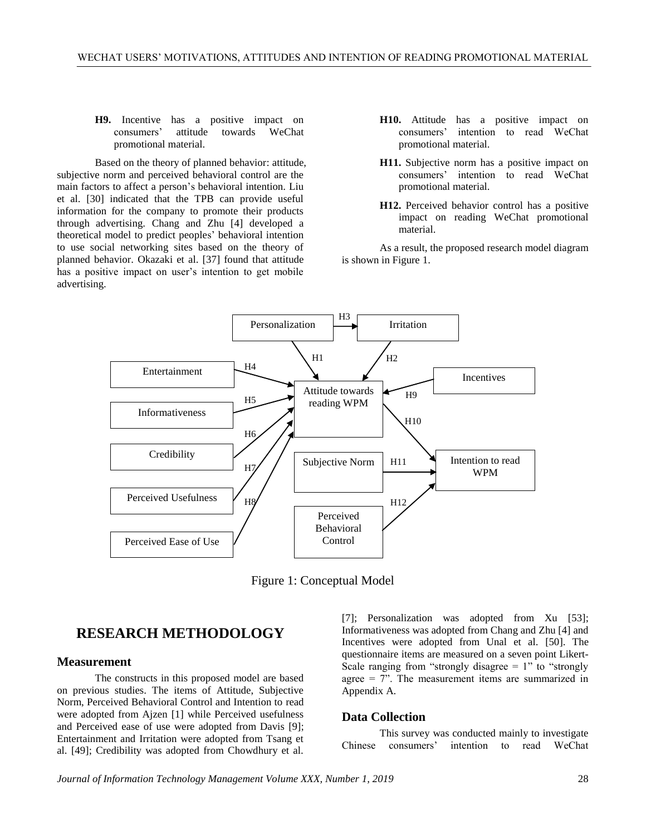#### **H9.** Incentive has a positive impact on consumers' attitude towards WeChat promotional material.

Based on the theory of planned behavior: attitude, subjective norm and perceived behavioral control are the main factors to affect a person's behavioral intention. Liu et al. [30] indicated that the TPB can provide useful information for the company to promote their products through advertising. Chang and Zhu [4] developed a theoretical model to predict peoples' behavioral intention to use social networking sites based on the theory of planned behavior. Okazaki et al. [37] found that attitude has a positive impact on user's intention to get mobile advertising.

- **H10.** Attitude has a positive impact on consumers' intention to read WeChat promotional material.
- **H11.** Subjective norm has a positive impact on consumers' intention to read WeChat promotional material.
- **H12.** Perceived behavior control has a positive impact on reading WeChat promotional material.

As a result, the proposed research model diagram is shown in Figure 1.



Figure 1: Conceptual Model

# **RESEARCH METHODOLOGY**

#### **Measurement**

The constructs in this proposed model are based on previous studies. The items of Attitude, Subjective Norm, Perceived Behavioral Control and Intention to read were adopted from Ajzen [1] while Perceived usefulness and Perceived ease of use were adopted from Davis [9]; Entertainment and Irritation were adopted from Tsang et al. [49]; Credibility was adopted from Chowdhury et al. [7]; Personalization was adopted from Xu [53]; Informativeness was adopted from Chang and Zhu [4] and Incentives were adopted from Unal et al. [50]. The questionnaire items are measured on a seven point Likert-Scale ranging from "strongly disagree  $= 1$ " to "strongly agree = 7". The measurement items are summarized in Appendix A.

#### **Data Collection**

This survey was conducted mainly to investigate Chinese consumers' intention to read WeChat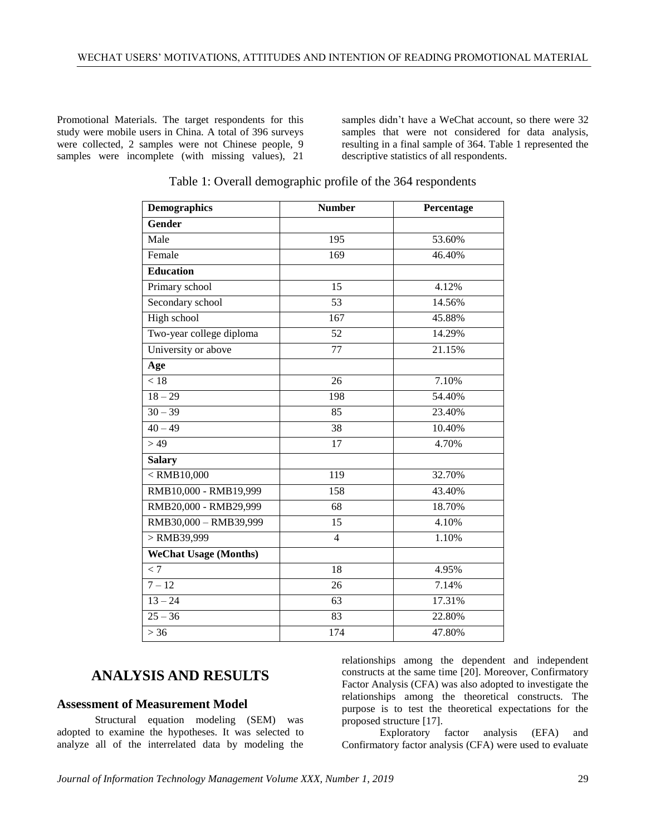Promotional Materials. The target respondents for this study were mobile users in China. A total of 396 surveys were collected, 2 samples were not Chinese people, 9 samples were incomplete (with missing values), 21 samples didn't have a WeChat account, so there were 32 samples that were not considered for data analysis, resulting in a final sample of 364. Table 1 represented the descriptive statistics of all respondents.

| <b>Demographics</b>          | <b>Number</b>    | Percentage |
|------------------------------|------------------|------------|
| <b>Gender</b>                |                  |            |
| Male                         | 195              | 53.60%     |
| Female                       | 169              | 46.40%     |
| <b>Education</b>             |                  |            |
| Primary school               | 15               | 4.12%      |
| Secondary school             | 53               | 14.56%     |
| <b>High school</b>           | $\overline{167}$ | 45.88%     |
| Two-year college diploma     | 52               | 14.29%     |
| University or above          | 77               | 21.15%     |
| Age                          |                  |            |
| < 18                         | 26               | 7.10%      |
| $\frac{1}{18} - 29$          | 198              | 54.40%     |
| $30 - 39$                    | 85               | 23.40%     |
| $40 - 49$                    | 38               | 10.40%     |
| >49                          | 17               | 4.70%      |
| <b>Salary</b>                |                  |            |
| $<$ RMB10,000                | 119              | 32.70%     |
| RMB10,000 - RMB19,999        | 158              | 43.40%     |
| RMB20,000 - RMB29,999        | 68               | 18.70%     |
| RMB30,000 - RMB39,999        | 15               | 4.10%      |
| $>$ RMB39,999                | $\overline{4}$   | 1.10%      |
| <b>WeChat Usage (Months)</b> |                  |            |
| < 7                          | 18               | 4.95%      |
| $7 - 12$                     | 26               | 7.14%      |
| $13 - 24$                    | 63               | 17.31%     |
| $25 - 36$                    | $\overline{83}$  | 22.80%     |
| $>36$                        | 174              | 47.80%     |

#### Table 1: Overall demographic profile of the 364 respondents

# **ANALYSIS AND RESULTS**

#### **Assessment of Measurement Model**

Structural equation modeling (SEM) was adopted to examine the hypotheses. It was selected to analyze all of the interrelated data by modeling the relationships among the dependent and independent constructs at the same time [20]. Moreover, Confirmatory Factor Analysis (CFA) was also adopted to investigate the relationships among the theoretical constructs. The purpose is to test the theoretical expectations for the proposed structure [17].

Exploratory factor analysis (EFA) and Confirmatory factor analysis (CFA) were used to evaluate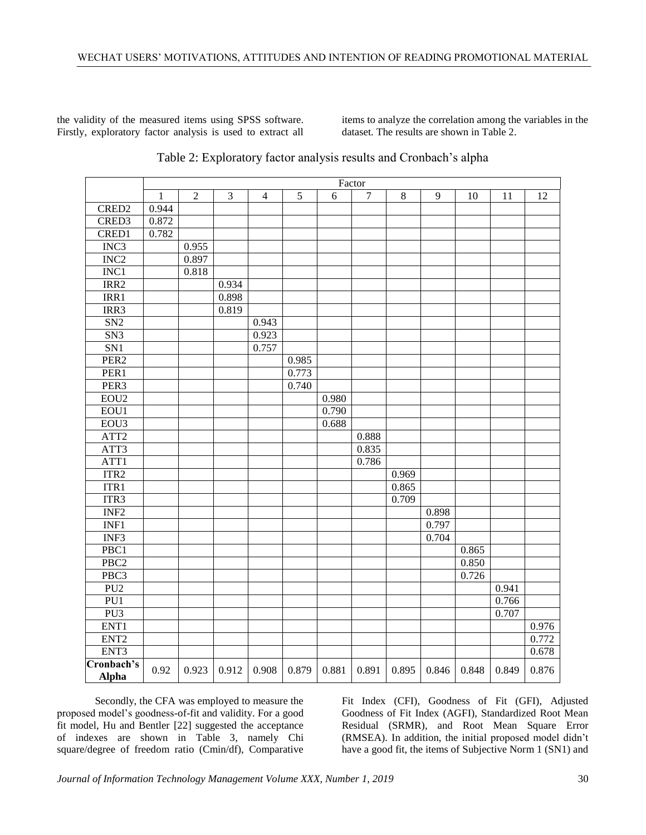the validity of the measured items using SPSS software. Firstly, exploratory factor analysis is used to extract all items to analyze the correlation among the variables in the dataset. The results are shown in Table 2.

|                            | Factor       |                |                |                |       |       |                |         |       |       |       |       |
|----------------------------|--------------|----------------|----------------|----------------|-------|-------|----------------|---------|-------|-------|-------|-------|
|                            | $\mathbf{1}$ | $\overline{2}$ | $\overline{3}$ | $\overline{4}$ | 5     | 6     | $\overline{7}$ | $\,8\,$ | 9     | 10    | 11    | 12    |
| CRED <sub>2</sub>          | 0.944        |                |                |                |       |       |                |         |       |       |       |       |
| CRED3                      | 0.872        |                |                |                |       |       |                |         |       |       |       |       |
| CRED1                      | 0.782        |                |                |                |       |       |                |         |       |       |       |       |
| INC <sub>3</sub>           |              | 0.955          |                |                |       |       |                |         |       |       |       |       |
| INC <sub>2</sub>           |              | 0.897          |                |                |       |       |                |         |       |       |       |       |
| INC1                       |              | 0.818          |                |                |       |       |                |         |       |       |       |       |
| IRR2                       |              |                | 0.934          |                |       |       |                |         |       |       |       |       |
| IRR1                       |              |                | 0.898          |                |       |       |                |         |       |       |       |       |
| IRR3                       |              |                | 0.819          |                |       |       |                |         |       |       |       |       |
| SN2                        |              |                |                | 0.943          |       |       |                |         |       |       |       |       |
| SN <sub>3</sub>            |              |                |                | 0.923          |       |       |                |         |       |       |       |       |
| SN1                        |              |                |                | 0.757          |       |       |                |         |       |       |       |       |
| PER <sub>2</sub>           |              |                |                |                | 0.985 |       |                |         |       |       |       |       |
| PER1                       |              |                |                |                | 0.773 |       |                |         |       |       |       |       |
| PER <sub>3</sub>           |              |                |                |                | 0.740 |       |                |         |       |       |       |       |
| EOU <sub>2</sub>           |              |                |                |                |       | 0.980 |                |         |       |       |       |       |
| EOU1                       |              |                |                |                |       | 0.790 |                |         |       |       |       |       |
| EOU3                       |              |                |                |                |       | 0.688 |                |         |       |       |       |       |
| ATT <sub>2</sub>           |              |                |                |                |       |       | 0.888          |         |       |       |       |       |
| ATT3                       |              |                |                |                |       |       | 0.835          |         |       |       |       |       |
| ATT1                       |              |                |                |                |       |       | 0.786          |         |       |       |       |       |
| ITR <sub>2</sub>           |              |                |                |                |       |       |                | 0.969   |       |       |       |       |
| ITR1                       |              |                |                |                |       |       |                | 0.865   |       |       |       |       |
| ITR3                       |              |                |                |                |       |       |                | 0.709   |       |       |       |       |
| INF <sub>2</sub>           |              |                |                |                |       |       |                |         | 0.898 |       |       |       |
| INF1                       |              |                |                |                |       |       |                |         | 0.797 |       |       |       |
| INF3                       |              |                |                |                |       |       |                |         | 0.704 |       |       |       |
| PBC1                       |              |                |                |                |       |       |                |         |       | 0.865 |       |       |
| PBC <sub>2</sub>           |              |                |                |                |       |       |                |         |       | 0.850 |       |       |
| PBC3                       |              |                |                |                |       |       |                |         |       | 0.726 |       |       |
| PU2                        |              |                |                |                |       |       |                |         |       |       | 0.941 |       |
| PUI                        |              |                |                |                |       |       |                |         |       |       | 0.766 |       |
| PU3                        |              |                |                |                |       |       |                |         |       |       | 0.707 |       |
| ENT <sub>1</sub>           |              |                |                |                |       |       |                |         |       |       |       | 0.976 |
| ENT <sub>2</sub>           |              |                |                |                |       |       |                |         |       |       |       | 0.772 |
| ENT <sub>3</sub>           |              |                |                |                |       |       |                |         |       |       |       | 0.678 |
| Cronbach's<br><b>Alpha</b> | 0.92         | 0.923          | 0.912          | 0.908          | 0.879 | 0.881 | 0.891          | 0.895   | 0.846 | 0.848 | 0.849 | 0.876 |

| Table 2: Exploratory factor analysis results and Cronbach's alpha |  |  |  |  |  |
|-------------------------------------------------------------------|--|--|--|--|--|
|                                                                   |  |  |  |  |  |

Secondly, the CFA was employed to measure the proposed model's goodness-of-fit and validity. For a good fit model, Hu and Bentler [22] suggested the acceptance of indexes are shown in Table 3, namely Chi square/degree of freedom ratio (Cmin/df), Comparative

Fit Index (CFI), Goodness of Fit (GFI), Adjusted Goodness of Fit Index (AGFI), Standardized Root Mean Residual (SRMR), and Root Mean Square Error (RMSEA). In addition, the initial proposed model didn't have a good fit, the items of Subjective Norm 1 (SN1) and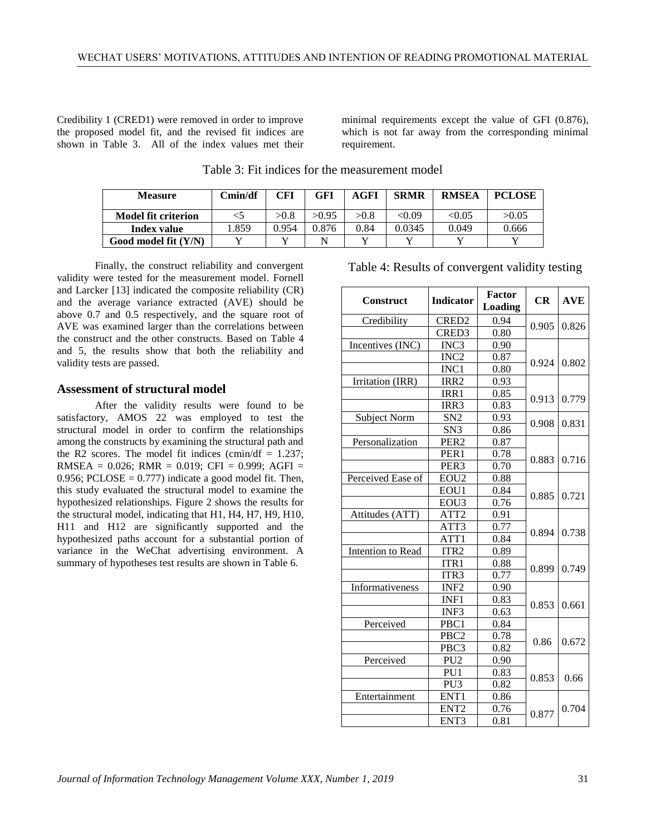Credibility 1 (CRED1) were removed in order to improve the proposed model fit, and the revised fit indices are shown in Table 3. All of the index values met their minimal requirements except the value of GFI (0.876), which is not far away from the corresponding minimal requirement.

| <b>Measure</b>             | Cmin/df | CFI   | GFI   | AGFI | <b>SRMR</b>   | <b>RMSEA</b>  | <b>PCLOSE</b> |
|----------------------------|---------|-------|-------|------|---------------|---------------|---------------|
| <b>Model fit criterion</b> |         | >0.8  | >0.95 | >0.8 | $< \!\! 0.09$ | $< \!\! 0.05$ | >0.05         |
| <b>Index value</b>         | .859    | 0.954 | 9.876 | 0.84 | 0.0345        | 0.049         | 0.666         |
| Good model fit $(Y/N)$     |         |       |       |      |               |               |               |

Table 3: Fit indices for the measurement model

Finally, the construct reliability and convergent validity were tested for the measurement model. Fornell and Larcker [13] indicated the composite reliability (CR) and the average variance extracted (AVE) should be above 0.7 and 0.5 respectively, and the square root of AVE was examined larger than the correlations between the construct and the other constructs. Based on Table 4 and 5, the results show that both the reliability and validity tests are passed.

### **Assessment of structural model**

After the validity results were found to be satisfactory, AMOS 22 was employed to test the structural model in order to confirm the relationships among the constructs by examining the structural path and the R2 scores. The model fit indices (cmin/df  $= 1.237$ ; RMSEA =  $0.026$ ; RMR =  $0.019$ ; CFI =  $0.999$ ; AGFI = 0.956; PCLOSE  $= 0.777$ ) indicate a good model fit. Then, this study evaluated the structural model to examine the hypothesized relationships. Figure 2 shows the results for the structural model, indicating that H1, H4, H7, H9, H10, H11 and H12 are significantly supported and the hypothesized paths account for a substantial portion of variance in the WeChat advertising environment. A summary of hypotheses test results are shown in Table 6.

| <b>Construct</b>    | <b>Indicator</b>  | <b>Factor</b><br>Loading | CR    | <b>AVE</b> |  |
|---------------------|-------------------|--------------------------|-------|------------|--|
| Credibility         | CRED <sub>2</sub> | 0.94                     |       |            |  |
|                     | CRED3             | 0.80                     | 0.905 | 0.826      |  |
| Incentives (INC)    | INC3              | 0.90                     |       |            |  |
|                     | INC <sub>2</sub>  | 0.87                     |       |            |  |
|                     | INC1              | 0.80                     | 0.924 | 0.802      |  |
| Irritation (IRR)    | IRR <sub>2</sub>  | 0.93                     |       |            |  |
|                     | IRR1              | 0.85                     |       | 0.779      |  |
|                     | IRR <sub>3</sub>  | 0.83                     | 0.913 |            |  |
| <b>Subject Norm</b> | SN <sub>2</sub>   | 0.93                     | 0.908 | 0.831      |  |
|                     | SN <sub>3</sub>   | 0.86                     |       |            |  |
| Personalization     | PER <sub>2</sub>  | 0.87                     |       |            |  |
|                     | PER1              | 0.78                     | 0.883 | 0.716      |  |
|                     | PER <sub>3</sub>  | 0.70                     |       |            |  |
| Perceived Ease of   | EOU <sub>2</sub>  | 0.88                     |       |            |  |
|                     | EOU1              | 0.84                     | 0.885 | 0.721      |  |
|                     | EOU3              | 0.76                     |       |            |  |
| Attitudes (ATT)     | ATT <sub>2</sub>  | 0.91                     |       |            |  |
|                     | ATT3              | 0.77                     | 0.894 | 0.738      |  |
|                     | ATT <sub>1</sub>  | 0.84                     |       |            |  |
| Intention to Read   | ITR <sub>2</sub>  | 0.89                     |       |            |  |
|                     | ITR1              | 0.88                     | 0.899 | 0.749      |  |
|                     | ITR3              | 0.77                     |       |            |  |
| Informativeness     | INF <sub>2</sub>  | 0.90                     |       |            |  |
|                     | INF1              | 0.83                     | 0.853 | 0.661      |  |
|                     | INF3              | 0.63                     |       |            |  |
| Perceived           | PBC1              | 0.84                     |       |            |  |
|                     | PBC <sub>2</sub>  | 0.78                     | 0.86  |            |  |
|                     | PBC3              | 0.82                     |       | 0.672      |  |
| Perceived           | PU <sub>2</sub>   | 0.90                     |       |            |  |
|                     | PU1               | 0.83                     | 0.853 |            |  |
|                     | PU <sub>3</sub>   | 0.82                     |       | 0.66       |  |
| Entertainment       | ENT1              | 0.86                     |       |            |  |
|                     | ENT <sub>2</sub>  | 0.76                     | 0.877 | 0.704      |  |
|                     | ENT3              | 0.81                     |       |            |  |

Table 4: Results of convergent validity testing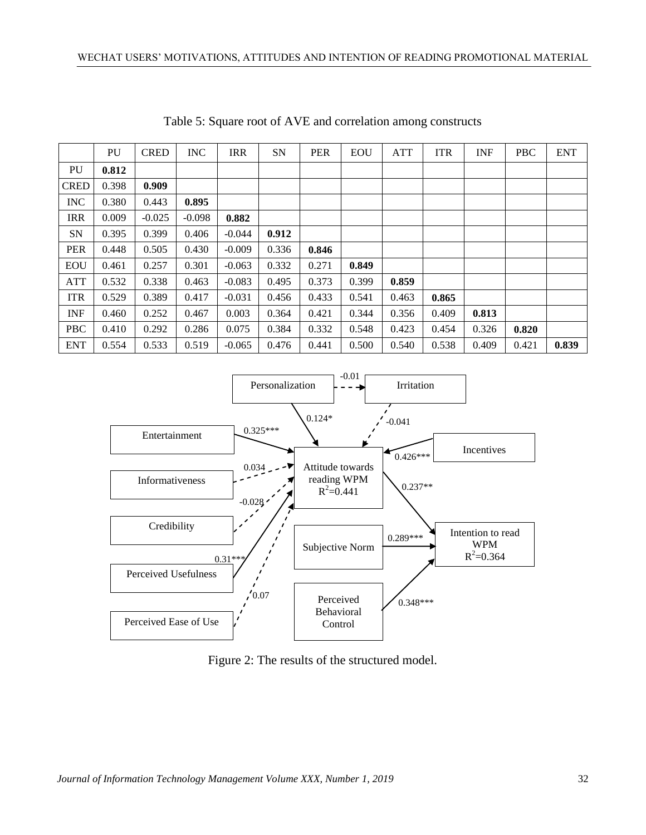|             | PU    | <b>CRED</b> | <b>INC</b> | <b>IRR</b> | <b>SN</b> | <b>PER</b> | <b>EOU</b> | <b>ATT</b> | <b>ITR</b> | <b>INF</b> | <b>PBC</b> | <b>ENT</b> |
|-------------|-------|-------------|------------|------------|-----------|------------|------------|------------|------------|------------|------------|------------|
| PU          | 0.812 |             |            |            |           |            |            |            |            |            |            |            |
| <b>CRED</b> | 0.398 | 0.909       |            |            |           |            |            |            |            |            |            |            |
| <b>INC</b>  | 0.380 | 0.443       | 0.895      |            |           |            |            |            |            |            |            |            |
| <b>IRR</b>  | 0.009 | $-0.025$    | $-0.098$   | 0.882      |           |            |            |            |            |            |            |            |
| <b>SN</b>   | 0.395 | 0.399       | 0.406      | $-0.044$   | 0.912     |            |            |            |            |            |            |            |
| <b>PER</b>  | 0.448 | 0.505       | 0.430      | $-0.009$   | 0.336     | 0.846      |            |            |            |            |            |            |
| <b>EOU</b>  | 0.461 | 0.257       | 0.301      | $-0.063$   | 0.332     | 0.271      | 0.849      |            |            |            |            |            |
| <b>ATT</b>  | 0.532 | 0.338       | 0.463      | $-0.083$   | 0.495     | 0.373      | 0.399      | 0.859      |            |            |            |            |
| <b>ITR</b>  | 0.529 | 0.389       | 0.417      | $-0.031$   | 0.456     | 0.433      | 0.541      | 0.463      | 0.865      |            |            |            |
| <b>INF</b>  | 0.460 | 0.252       | 0.467      | 0.003      | 0.364     | 0.421      | 0.344      | 0.356      | 0.409      | 0.813      |            |            |
| <b>PBC</b>  | 0.410 | 0.292       | 0.286      | 0.075      | 0.384     | 0.332      | 0.548      | 0.423      | 0.454      | 0.326      | 0.820      |            |
| <b>ENT</b>  | 0.554 | 0.533       | 0.519      | $-0.065$   | 0.476     | 0.441      | 0.500      | 0.540      | 0.538      | 0.409      | 0.421      | 0.839      |

Table 5: Square root of AVE and correlation among constructs



Figure 2: The results of the structured model.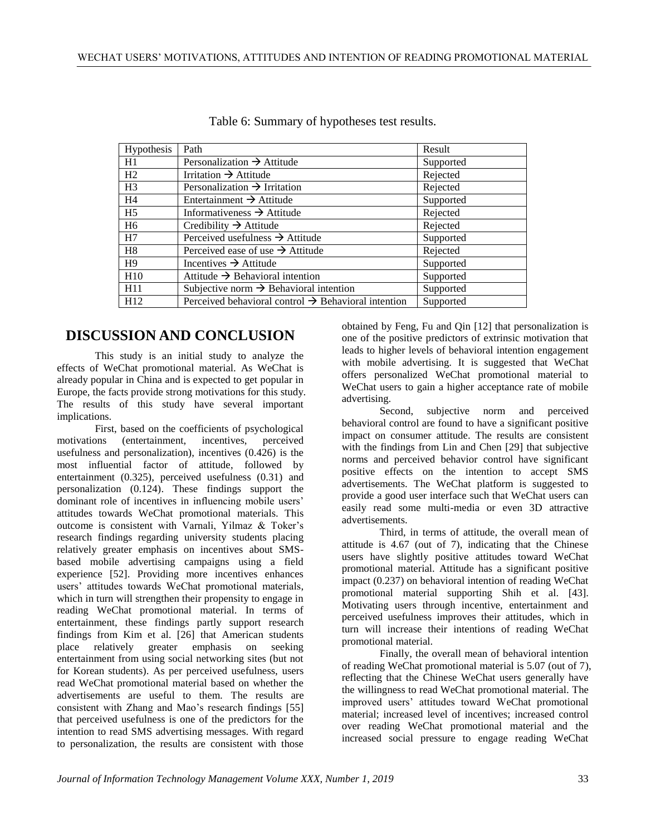| Hypothesis      | Path                                                            | Result    |
|-----------------|-----------------------------------------------------------------|-----------|
| H1              | Personalization $\rightarrow$ Attitude                          | Supported |
| H2              | Irritation $\rightarrow$ Attitude                               | Rejected  |
| H <sub>3</sub>  | Personalization $\rightarrow$ Irritation                        | Rejected  |
| H4              | Entertainment $\rightarrow$ Attitude                            | Supported |
| H <sub>5</sub>  | Informativeness $\rightarrow$ Attitude                          | Rejected  |
| H <sub>6</sub>  | Credibility $\rightarrow$ Attitude                              | Rejected  |
| H7              | Perceived usefulness $\rightarrow$ Attitude                     | Supported |
| H8              | Perceived ease of use $\rightarrow$ Attitude                    | Rejected  |
| H9              | Incentives $\rightarrow$ Attitude                               | Supported |
| H10             | Attitude $\rightarrow$ Behavioral intention                     | Supported |
| H <sub>11</sub> | Subjective norm $\rightarrow$ Behavioral intention              | Supported |
| H <sub>12</sub> | Perceived behavioral control $\rightarrow$ Behavioral intention | Supported |

Table 6: Summary of hypotheses test results.

# **DISCUSSION AND CONCLUSION**

This study is an initial study to analyze the effects of WeChat promotional material. As WeChat is already popular in China and is expected to get popular in Europe, the facts provide strong motivations for this study. The results of this study have several important implications.

First, based on the coefficients of psychological motivations (entertainment, incentives, perceived usefulness and personalization), incentives (0.426) is the most influential factor of attitude, followed by entertainment (0.325), perceived usefulness (0.31) and personalization (0.124). These findings support the dominant role of incentives in influencing mobile users' attitudes towards WeChat promotional materials. This outcome is consistent with Varnali, Yilmaz & Toker's research findings regarding university students placing relatively greater emphasis on incentives about SMSbased mobile advertising campaigns using a field experience [52]. Providing more incentives enhances users' attitudes towards WeChat promotional materials, which in turn will strengthen their propensity to engage in reading WeChat promotional material. In terms of entertainment, these findings partly support research findings from Kim et al. [26] that American students place relatively greater emphasis on seeking entertainment from using social networking sites (but not for Korean students). As per perceived usefulness, users read WeChat promotional material based on whether the advertisements are useful to them. The results are consistent with Zhang and Mao's research findings [55] that perceived usefulness is one of the predictors for the intention to read SMS advertising messages. With regard to personalization, the results are consistent with those

obtained by Feng, Fu and Qin [12] that personalization is one of the positive predictors of extrinsic motivation that leads to higher levels of behavioral intention engagement with mobile advertising. It is suggested that WeChat offers personalized WeChat promotional material to WeChat users to gain a higher acceptance rate of mobile advertising.

Second, subjective norm and perceived behavioral control are found to have a significant positive impact on consumer attitude. The results are consistent with the findings from Lin and Chen [29] that subjective norms and perceived behavior control have significant positive effects on the intention to accept SMS advertisements. The WeChat platform is suggested to provide a good user interface such that WeChat users can easily read some multi-media or even 3D attractive advertisements.

Third, in terms of attitude, the overall mean of attitude is 4.67 (out of 7), indicating that the Chinese users have slightly positive attitudes toward WeChat promotional material. Attitude has a significant positive impact (0.237) on behavioral intention of reading WeChat promotional material supporting Shih et al. [43]. Motivating users through incentive, entertainment and perceived usefulness improves their attitudes, which in turn will increase their intentions of reading WeChat promotional material.

Finally, the overall mean of behavioral intention of reading WeChat promotional material is 5.07 (out of 7), reflecting that the Chinese WeChat users generally have the willingness to read WeChat promotional material. The improved users' attitudes toward WeChat promotional material; increased level of incentives; increased control over reading WeChat promotional material and the increased social pressure to engage reading WeChat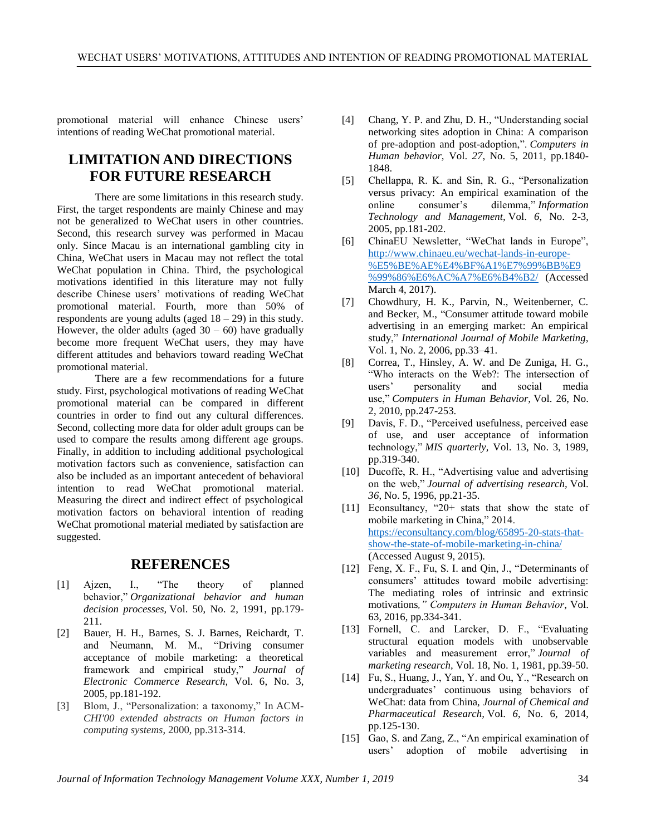promotional material will enhance Chinese users' intentions of reading WeChat promotional material.

# **LIMITATION AND DIRECTIONS FOR FUTURE RESEARCH**

There are some limitations in this research study. First, the target respondents are mainly Chinese and may not be generalized to WeChat users in other countries. Second, this research survey was performed in Macau only. Since Macau is an international gambling city in China, WeChat users in Macau may not reflect the total WeChat population in China. Third, the psychological motivations identified in this literature may not fully describe Chinese users' motivations of reading WeChat promotional material. Fourth, more than 50% of respondents are young adults (aged  $18 - 29$ ) in this study. However, the older adults (aged  $30 - 60$ ) have gradually become more frequent WeChat users, they may have different attitudes and behaviors toward reading WeChat promotional material.

There are a few recommendations for a future study. First, psychological motivations of reading WeChat promotional material can be compared in different countries in order to find out any cultural differences. Second, collecting more data for older adult groups can be used to compare the results among different age groups. Finally, in addition to including additional psychological motivation factors such as convenience, satisfaction can also be included as an important antecedent of behavioral intention to read WeChat promotional material. Measuring the direct and indirect effect of psychological motivation factors on behavioral intention of reading WeChat promotional material mediated by satisfaction are suggested.

## **REFERENCES**

- [1] Ajzen, I., "The theory of planned behavior," *Organizational behavior and human decision processes,* Vol. 50, No. 2, 1991, pp.179- 211.
- [2] Bauer, H. H., Barnes, S. J. Barnes, Reichardt, T. and Neumann, M. M., "Driving consumer acceptance of mobile marketing: a theoretical framework and empirical study," *Journal of Electronic Commerce Research,* Vol. 6, No. 3, 2005, pp.181-192.
- [3] Blom, J., "Personalization: a taxonomy," In ACM-*CHI'00 extended abstracts on Human factors in computing systems*, 2000, pp.313-314.
- [4] Chang, Y. P. and Zhu, D. H., "Understanding social networking sites adoption in China: A comparison of pre-adoption and post-adoption,". *Computers in Human behavior,* Vol. *27*, No. 5, 2011, pp.1840- 1848.
- [5] Chellappa, R. K. and Sin, R. G., "Personalization versus privacy: An empirical examination of the online consumer's dilemma," *Information Technology and Management,* Vol. *6*, No. 2-3, 2005, pp.181-202.
- [6] ChinaEU Newsletter, "WeChat lands in Europe", [http://www.chinaeu.eu/wechat-lands-in-europe-](http://www.chinaeu.eu/wechat-lands-in-europe-%E5%BE%AE%E4%BF%A1%E7%99%BB%E9%99%86%E6%AC%A7%E6%B4%B2/) [%E5%BE%AE%E4%BF%A1%E7%99%BB%E9](http://www.chinaeu.eu/wechat-lands-in-europe-%E5%BE%AE%E4%BF%A1%E7%99%BB%E9%99%86%E6%AC%A7%E6%B4%B2/) [%99%86%E6%AC%A7%E6%B4%B2/](http://www.chinaeu.eu/wechat-lands-in-europe-%E5%BE%AE%E4%BF%A1%E7%99%BB%E9%99%86%E6%AC%A7%E6%B4%B2/) (Accessed March 4, 2017).
- [7] Chowdhury, H. K., Parvin, N., Weitenberner, C. and Becker, M., "Consumer attitude toward mobile advertising in an emerging market: An empirical study," *International Journal of Mobile Marketing,* Vol. 1, No. 2, 2006, pp.33–41.
- [8] Correa, T., Hinsley, A. W. and De Zuniga, H. G., "Who interacts on the Web?: The intersection of users' personality and social media use," *Computers in Human Behavior,* Vol. 26, No. 2, 2010, pp.247-253.
- [9] Davis, F. D., "Perceived usefulness, perceived ease of use, and user acceptance of information technology," *MIS quarterly,* Vol. 13, No. 3, 1989, pp.319-340.
- [10] Ducoffe, R. H., "Advertising value and advertising on the web," *Journal of advertising research,* Vol. *36*, No. 5, 1996, pp.21-35.
- [11] Econsultancy, "20+ stats that show the state of mobile marketing in China," 2014. [https://econsultancy.com/blog/65895-20-stats-that](https://econsultancy.com/blog/65895-20-stats-that-show-the-state-of-mobile-marketing-in-china/)[show-the-state-of-mobile-marketing-in-china/](https://econsultancy.com/blog/65895-20-stats-that-show-the-state-of-mobile-marketing-in-china/) (Accessed August 9, 2015).
- [12] Feng, X. F., Fu, S. I. and Qin, J., "Determinants of consumers' attitudes toward mobile advertising: The mediating roles of intrinsic and extrinsic motivations*," Computers in Human Behavior*, Vol. 63, 2016, pp.334-341.
- [13] Fornell, C. and Larcker, D. F., "Evaluating structural equation models with unobservable variables and measurement error," *Journal of marketing research,* Vol. 18, No. 1, 1981, pp.39-50.
- [14] Fu, S., Huang, J., Yan, Y. and Ou, Y., "Research on undergraduates' continuous using behaviors of WeChat: data from China, *Journal of Chemical and Pharmaceutical Research,* Vol. *6*, No. 6, 2014, pp.125-130.
- [15] Gao, S. and Zang, Z., "An empirical examination of users' adoption of mobile advertising in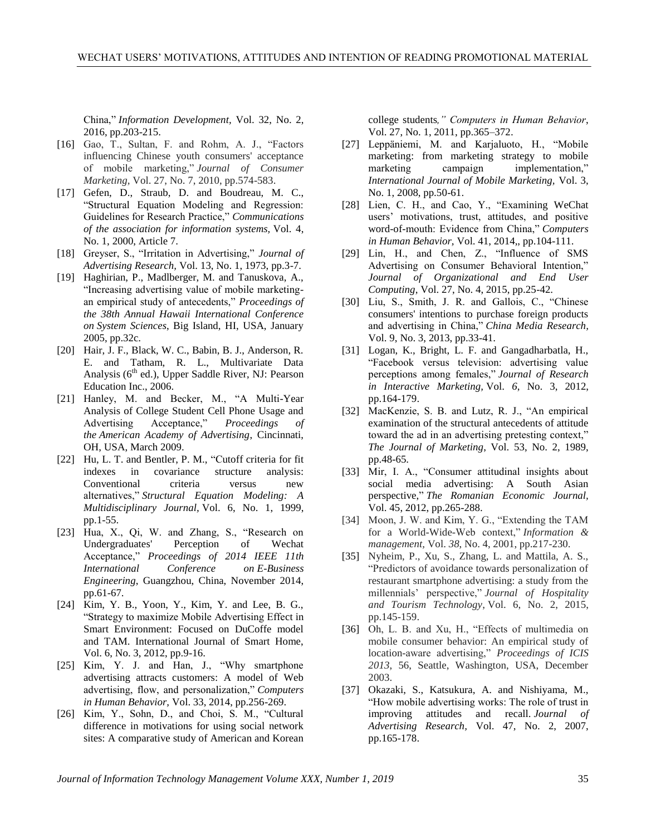China," *Information Development,* Vol. 32, No. 2, 2016, pp.203-215.

- [16] Gao, T., Sultan, F. and Rohm, A. J., "Factors influencing Chinese youth consumers' acceptance of mobile marketing," *Journal of Consumer Marketing,* Vol. 27, No. 7, 2010, pp.574-583.
- [17] Gefen, D., Straub, D. and Boudreau, M. C., "Structural Equation Modeling and Regression: Guidelines for Research Practice," *Communications of the association for information systems,* Vol. 4, No. 1, 2000, Article 7.
- [18] Greyser, S., "Irritation in Advertising," *Journal of Advertising Research,* Vol. 13, No. 1, 1973, pp.3-7.
- [19] Haghirian, P., Madlberger, M. and Tanuskova, A., "Increasing advertising value of mobile marketingan empirical study of antecedents," *Proceedings of the 38th Annual Hawaii International Conference on System Sciences*, Big Island, HI, USA, January 2005, pp.32c.
- [20] Hair, J. F., Black, W. C., Babin, B. J., Anderson, R. E. and Tatham, R. L., Multivariate Data Analysis (6<sup>th</sup> ed.), Upper Saddle River, NJ: Pearson Education Inc., 2006.
- [21] Hanley, M. and Becker, M., "A Multi-Year Analysis of College Student Cell Phone Usage and Advertising Acceptance," *Proceedings of the American Academy of Advertising*, Cincinnati, OH, USA, March 2009.
- [22] Hu, L. T. and Bentler, P. M., "Cutoff criteria for fit indexes in covariance structure analysis: Conventional criteria versus new alternatives," *Structural Equation Modeling: A Multidisciplinary Journal,* Vol. 6, No. 1, 1999, pp.1-55.
- [23] Hua, X., Qi, W. and Zhang, S., "Research on Undergraduates' Perception of Wechat Acceptance," *Proceedings of 2014 IEEE 11th International Conference on E-Business Engineering*, Guangzhou, China, November 2014, pp.61-67.
- [24] Kim, Y. B., Yoon, Y., Kim, Y. and Lee, B. G., "Strategy to maximize Mobile Advertising Effect in Smart Environment: Focused on DuCoffe model and TAM. International Journal of Smart Home, Vol. 6, No. 3, 2012, pp.9-16.
- [25] Kim, Y. J. and Han, J., "Why smartphone advertising attracts customers: A model of Web advertising, flow, and personalization," *Computers in Human Behavior,* Vol. 33, 2014, pp.256-269.
- [26] Kim, Y., Sohn, D., and Choi, S. M., "Cultural difference in motivations for using social network sites: A comparative study of American and Korean

college students*," Computers in Human Behavior*, Vol. 27, No. 1, 2011, pp.365–372.

- [27] Leppäniemi, M. and Karjaluoto, H., "Mobile marketing: from marketing strategy to mobile marketing campaign implementation," *International Journal of Mobile Marketing,* Vol. 3, No. 1, 2008, pp.50-61.
- [28] Lien, C. H., and Cao, Y., "Examining WeChat users' motivations, trust, attitudes, and positive word-of-mouth: Evidence from China," *Computers in Human Behavior,* Vol. 41, 2014,, pp.104-111.
- [29] Lin, H., and Chen, Z., "Influence of SMS Advertising on Consumer Behavioral Intention," *Journal of Organizational and End User Computing*, Vol. 27, No. 4, 2015, pp.25-42.
- [30] Liu, S., Smith, J. R. and Gallois, C., "Chinese consumers' intentions to purchase foreign products and advertising in China," *China Media Research,* Vol. 9, No. 3, 2013, pp.33-41.
- [31] Logan, K., Bright, L. F. and Gangadharbatla, H., "Facebook versus television: advertising value perceptions among females," *Journal of Research in Interactive Marketing,* Vol. *6*, No. 3, 2012, pp.164-179.
- [32] MacKenzie, S. B. and Lutz, R. J., "An empirical examination of the structural antecedents of attitude toward the ad in an advertising pretesting context," *The Journal of Marketing*, Vol. 53, No. 2, 1989, pp.48-65.
- [33] Mir, I. A., "Consumer attitudinal insights about social media advertising: A South Asian perspective," *The Romanian Economic Journal,* Vol. 45, 2012, pp.265-288.
- [34] Moon, J. W. and Kim, Y. G., "Extending the TAM for a World-Wide-Web context," *Information & management,* Vol. *38*, No. 4, 2001, pp.217-230.
- [35] Nyheim, P., Xu, S., Zhang, L. and Mattila, A. S., "Predictors of avoidance towards personalization of restaurant smartphone advertising: a study from the millennials' perspective," *Journal of Hospitality and Tourism Technology*, Vol. 6, No. 2, 2015, pp.145-159.
- [36] Oh, L. B. and Xu, H., "Effects of multimedia on mobile consumer behavior: An empirical study of location-aware advertising," *Proceedings of ICIS 2013*, 56, Seattle, Washington, USA, December 2003.
- [37] Okazaki, S., Katsukura, A. and Nishiyama, M., "How mobile advertising works: The role of trust in improving attitudes and recall. *Journal of Advertising Research,* Vol. 47, No. 2, 2007, pp.165-178.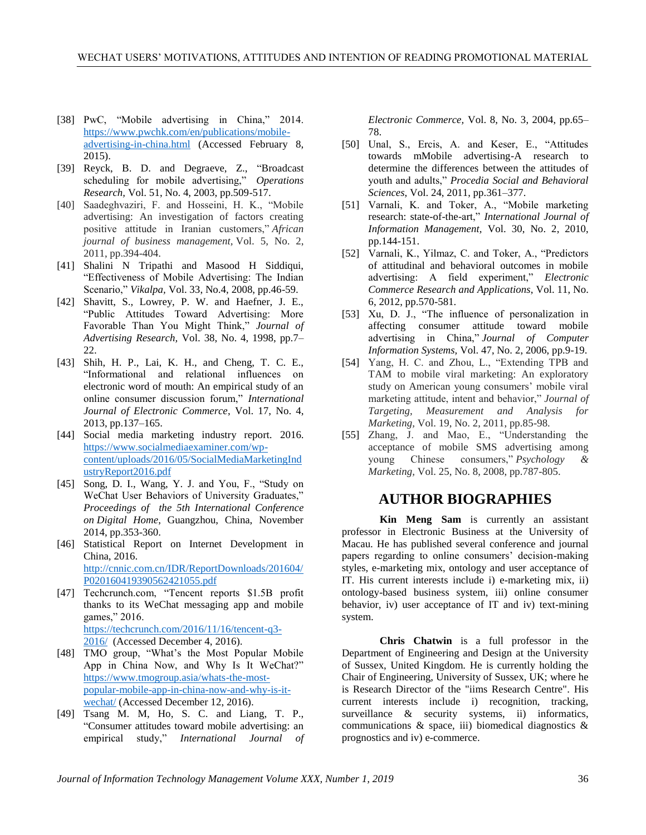- [38] PwC, "Mobile advertising in China," 2014. [https://www.pwchk.com/en/publications/mobile](https://www.pwchk.com/en/publications/mobile-advertising-in-china.html)[advertising-in-china.html](https://www.pwchk.com/en/publications/mobile-advertising-in-china.html) (Accessed February 8, 2015).
- [39] Reyck, B. D. and Degraeve, Z., "Broadcast scheduling for mobile advertising," *Operations Research,* Vol. 51, No. 4, 2003, pp.509-517.
- [40] Saadeghvaziri, F. and Hosseini, H. K., "Mobile advertising: An investigation of factors creating positive attitude in Iranian customers," *African journal of business management,* Vol. 5, No. 2, 2011, pp.394-404.
- [41] Shalini N Tripathi and Masood H Siddiqui, "Effectiveness of Mobile Advertising: The Indian Scenario," *Vikalpa,* Vol. 33, No.4, 2008, pp.46-59.
- [42] Shavitt, S., Lowrey, P. W. and Haefner, J. E., "Public Attitudes Toward Advertising: More Favorable Than You Might Think," *Journal of Advertising Research,* Vol. 38, No. 4, 1998, pp.7– 22.
- [43] Shih, H. P., Lai, K. H., and Cheng, T. C. E., "Informational and relational influences on electronic word of mouth: An empirical study of an online consumer discussion forum," *International Journal of Electronic Commerce*, Vol. 17, No. 4, 2013, pp.137–165.
- [44] Social media marketing industry report. 2016. [https://www.socialmediaexaminer.com/wp](https://www.socialmediaexaminer.com/wp-content/uploads/2016/05/SocialMediaMarketingIndustryReport2016.pdf)[content/uploads/2016/05/SocialMediaMarketingInd](https://www.socialmediaexaminer.com/wp-content/uploads/2016/05/SocialMediaMarketingIndustryReport2016.pdf) [ustryReport2016.pdf](https://www.socialmediaexaminer.com/wp-content/uploads/2016/05/SocialMediaMarketingIndustryReport2016.pdf)
- [45] Song, D. I., Wang, Y. J. and You, F., "Study on WeChat User Behaviors of University Graduates," *Proceedings of the 5th International Conference on Digital Home*, Guangzhou, China, November 2014, pp.353-360.
- [46] Statistical Report on Internet Development in China, 2016. [http://cnnic.com.cn/IDR/ReportDownloads/201604/](http://cnnic.com.cn/IDR/ReportDownloads/201604/P020160419390562421055.pdf) [P020160419390562421055.pdf](http://cnnic.com.cn/IDR/ReportDownloads/201604/P020160419390562421055.pdf)
- [47] Techcrunch.com, "Tencent reports \$1.5B profit thanks to its WeChat messaging app and mobile games," 2016. [https://techcrunch.com/2016/11/16/tencent-q3-](https://techcrunch.com/2016/11/16/tencent-q3-2016/) [2016/](https://techcrunch.com/2016/11/16/tencent-q3-2016/) (Accessed December 4, 2016).
- [48] TMO group, "What's the Most Popular Mobile App in China Now, and Why Is It WeChat?" [https://www.tmogroup.asia/whats-the-most](https://www.tmogroup.asia/whats-the-most-popular-mobile-app-in-china-now-and-why-is-it-wechat/)[popular-mobile-app-in-china-now-and-why-is-it](https://www.tmogroup.asia/whats-the-most-popular-mobile-app-in-china-now-and-why-is-it-wechat/)[wechat/](https://www.tmogroup.asia/whats-the-most-popular-mobile-app-in-china-now-and-why-is-it-wechat/) (Accessed December 12, 2016).
- [49] Tsang M. M, Ho, S. C. and Liang, T. P., "Consumer attitudes toward mobile advertising: an empirical study," *International Journal of*

*Electronic Commerce,* Vol. 8, No. 3, 2004, pp.65– 78.

- [50] Unal, S., Ercis, A. and Keser, E., "Attitudes towards mMobile advertising-A research to determine the differences between the attitudes of youth and adults," *Procedia Social and Behavioral Sciences*, Vol. 24, 2011, pp.361–377.
- [51] Varnali, K. and Toker, A., "Mobile marketing research: state-of-the-art," *International Journal of Information Management,* Vol. 30, No. 2, 2010, pp.144-151.
- [52] Varnali, K., Yilmaz, C. and Toker, A., "Predictors" of attitudinal and behavioral outcomes in mobile advertising: A field experiment," *Electronic Commerce Research and Applications*, Vol. 11, No. 6, 2012, pp.570-581.
- [53] Xu, D. J., "The influence of personalization in affecting consumer attitude toward mobile advertising in China," *Journal of Computer Information Systems,* Vol. 47, No. 2, 2006, pp.9-19.
- [54] Yang, H. C. and Zhou, L., "Extending TPB and TAM to mobile viral marketing: An exploratory study on American young consumers' mobile viral marketing attitude, intent and behavior," *Journal of Targeting, Measurement and Analysis for Marketing,* Vol. 19, No. 2, 2011, pp.85-98.
- [55] Zhang, J. and Mao, E., "Understanding the acceptance of mobile SMS advertising among young Chinese consumers," *Psychology & Marketing,* Vol. 25, No. 8, 2008, pp.787-805.

### **AUTHOR BIOGRAPHIES**

**Kin Meng Sam** is currently an assistant professor in Electronic Business at the University of Macau. He has published several conference and journal papers regarding to online consumers' decision-making styles, e-marketing mix, ontology and user acceptance of IT. His current interests include i) e-marketing mix, ii) ontology-based business system, iii) online consumer behavior, iv) user acceptance of IT and iv) text-mining system.

**Chris Chatwin** is a full professor in the Department of Engineering and Design at the University of Sussex, United Kingdom. He is currently holding the Chair of Engineering, University of Sussex, UK; where he is Research Director of the "iims Research Centre". His current interests include i) recognition, tracking, surveillance & security systems, ii) informatics, communications & space, iii) biomedical diagnostics & prognostics and iv) e-commerce.